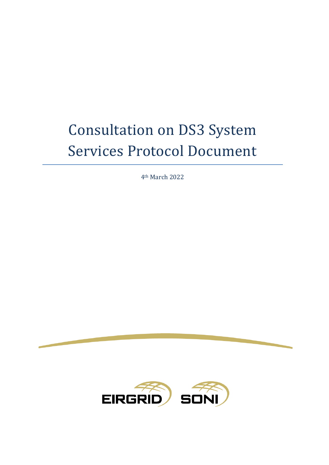# Consultation on DS3 System Services Protocol Document

4th March 2022

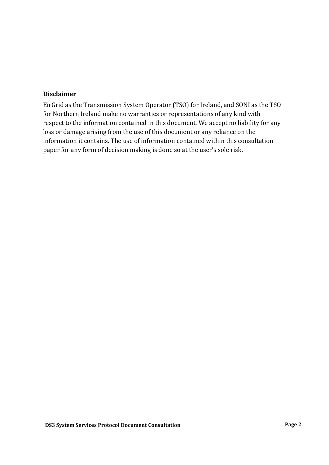#### **Disclaimer**

EirGrid as the Transmission System Operator (TSO) for Ireland, and SONI as the TSO for Northern Ireland make no warranties or representations of any kind with respect to the information contained in this document. We accept no liability for any loss or damage arising from the use of this document or any reliance on the information it contains. The use of information contained within this consultation paper for any form of decision making is done so at the user's sole risk.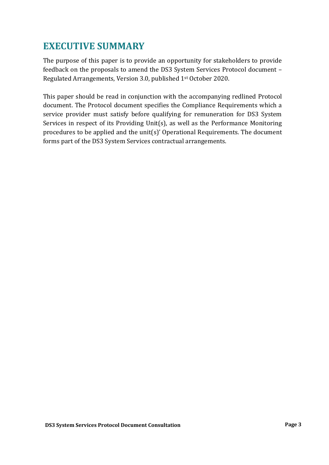## <span id="page-2-0"></span>**EXECUTIVE SUMMARY**

The purpose of this paper is to provide an opportunity for stakeholders to provide feedback on the proposals to amend the DS3 System Services Protocol document – Regulated Arrangements, Version 3.0, published 1st October 2020.

This paper should be read in conjunction with the accompanying redlined Protocol document. The Protocol document specifies the Compliance Requirements which a service provider must satisfy before qualifying for remuneration for DS3 System Services in respect of its Providing Unit(s), as well as the Performance Monitoring procedures to be applied and the unit(s)' Operational Requirements. The document forms part of the DS3 System Services contractual arrangements.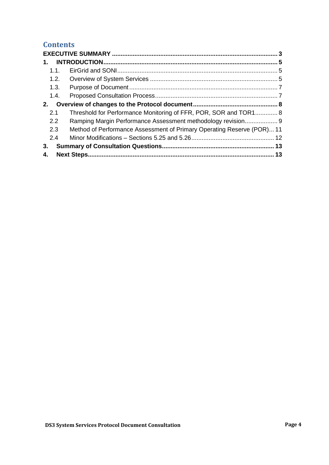### **Contents**

| 1.   |                                                                       |  |  |  |
|------|-----------------------------------------------------------------------|--|--|--|
| 1.1. |                                                                       |  |  |  |
| 1.2. |                                                                       |  |  |  |
| 1.3. |                                                                       |  |  |  |
| 1.4. |                                                                       |  |  |  |
| 2.   |                                                                       |  |  |  |
| 2.1  | Threshold for Performance Monitoring of FFR, POR, SOR and TOR1 8      |  |  |  |
| 2.2  | Ramping Margin Performance Assessment methodology revision 9          |  |  |  |
| 2.3  | Method of Performance Assessment of Primary Operating Reserve (POR)11 |  |  |  |
| 2.4  |                                                                       |  |  |  |
| 3.   |                                                                       |  |  |  |
| 4.   |                                                                       |  |  |  |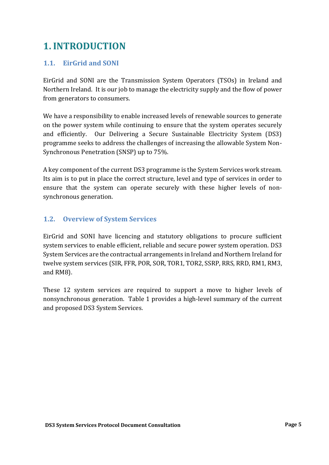# <span id="page-4-0"></span>**1.INTRODUCTION**

#### <span id="page-4-1"></span>**1.1. EirGrid and SONI**

EirGrid and SONI are the Transmission System Operators (TSOs) in Ireland and Northern Ireland. It is our job to manage the electricity supply and the flow of power from generators to consumers.

We have a responsibility to enable increased levels of renewable sources to generate on the power system while continuing to ensure that the system operates securely and efficiently. Our Delivering a Secure Sustainable Electricity System (DS3) programme seeks to address the challenges of increasing the allowable System Non-Synchronous Penetration (SNSP) up to 75%.

A key component of the current DS3 programme is the System Services work stream. Its aim is to put in place the correct structure, level and type of services in order to ensure that the system can operate securely with these higher levels of nonsynchronous generation.

#### <span id="page-4-2"></span>**1.2. Overview of System Services**

EirGrid and SONI have licencing and statutory obligations to procure sufficient system services to enable efficient, reliable and secure power system operation. DS3 System Services are the contractual arrangements in Ireland and Northern Ireland for twelve system services (SIR, FFR, POR, SOR, TOR1, TOR2, SSRP, RRS, RRD, RM1, RM3, and RM8).

These 12 system services are required to support a move to higher levels of nonsynchronous generation. Table 1 provides a high-level summary of the current and proposed DS3 System Services.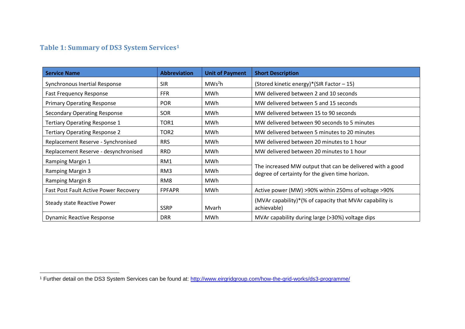## **Table 1: Summary of DS3 System Services<sup>1</sup>**

| <b>Service Name</b>                          | <b>Abbreviation</b> | <b>Unit of Payment</b> | <b>Short Description</b>                                                                                     |
|----------------------------------------------|---------------------|------------------------|--------------------------------------------------------------------------------------------------------------|
| Synchronous Inertial Response                | <b>SIR</b>          | MWs <sup>2</sup> h     | (Stored kinetic energy)*(SIR Factor - 15)                                                                    |
| <b>Fast Frequency Response</b>               | <b>FFR</b>          | MWh                    | MW delivered between 2 and 10 seconds                                                                        |
| <b>Primary Operating Response</b>            | <b>POR</b>          | MWh                    | MW delivered between 5 and 15 seconds                                                                        |
| <b>Secondary Operating Response</b>          | SOR                 | MWh                    | MW delivered between 15 to 90 seconds                                                                        |
| Tertiary Operating Response 1                | TOR1                | MWh                    | MW delivered between 90 seconds to 5 minutes                                                                 |
| <b>Tertiary Operating Response 2</b>         | TOR <sub>2</sub>    | MWh                    | MW delivered between 5 minutes to 20 minutes                                                                 |
| Replacement Reserve - Synchronised           | <b>RRS</b>          | MWh                    | MW delivered between 20 minutes to 1 hour                                                                    |
| Replacement Reserve - desynchronised         | <b>RRD</b>          | MWh                    | MW delivered between 20 minutes to 1 hour                                                                    |
| Ramping Margin 1                             | RM1                 | MWh                    | The increased MW output that can be delivered with a good<br>degree of certainty for the given time horizon. |
| <b>Ramping Margin 3</b>                      | RM3                 | MWh                    |                                                                                                              |
| <b>Ramping Margin 8</b>                      | RM <sub>8</sub>     | MWh                    |                                                                                                              |
| <b>Fast Post Fault Active Power Recovery</b> | <b>FPFAPR</b>       | MWh                    | Active power (MW) >90% within 250ms of voltage >90%                                                          |
| Steady state Reactive Power                  | <b>SSRP</b>         | Mvarh                  | (MVAr capability)*(% of capacity that MVAr capability is<br>achievable)                                      |
| <b>Dynamic Reactive Response</b>             | <b>DRR</b>          | <b>MWh</b>             | MVAr capability during large (>30%) voltage dips                                                             |

<sup>&</sup>lt;sup>1</sup> Further detail on the DS3 System Services can be found at:<http://www.eirgridgroup.com/how-the-grid-works/ds3-programme/>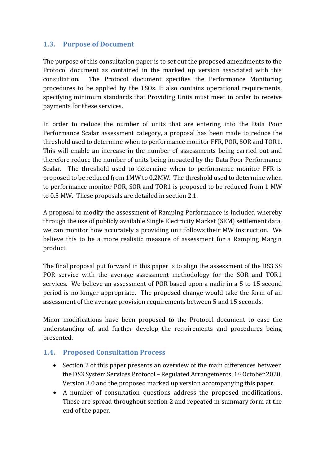#### <span id="page-6-0"></span>**1.3. Purpose of Document**

The purpose of this consultation paper is to set out the proposed amendments to the Protocol document as contained in the marked up version associated with this consultation. The Protocol document specifies the Performance Monitoring procedures to be applied by the TSOs. It also contains operational requirements, specifying minimum standards that Providing Units must meet in order to receive payments for these services.

In order to reduce the number of units that are entering into the Data Poor Performance Scalar assessment category, a proposal has been made to reduce the threshold used to determine when to performance monitor FFR, POR, SOR and TOR1. This will enable an increase in the number of assessments being carried out and therefore reduce the number of units being impacted by the Data Poor Performance Scalar. The threshold used to determine when to performance monitor FFR is proposed to be reduced from 1MW to 0.2MW. The threshold used to determine when to performance monitor POR, SOR and TOR1 is proposed to be reduced from 1 MW to 0.5 MW. These proposals are detailed in section 2.1.

A proposal to modify the assessment of Ramping Performance is included whereby through the use of publicly available Single Electricity Market (SEM) settlement data, we can monitor how accurately a providing unit follows their MW instruction. We believe this to be a more realistic measure of assessment for a Ramping Margin product.

The final proposal put forward in this paper is to align the assessment of the DS3 SS POR service with the average assessment methodology for the SOR and TOR1 services. We believe an assessment of POR based upon a nadir in a 5 to 15 second period is no longer appropriate. The proposed change would take the form of an assessment of the average provision requirements between 5 and 15 seconds.

Minor modifications have been proposed to the Protocol document to ease the understanding of, and further develop the requirements and procedures being presented.

#### <span id="page-6-1"></span>**1.4. Proposed Consultation Process**

- Section 2 of this paper presents an overview of the main differences between the DS3 System Services Protocol – Regulated Arrangements, 1st October 2020, Version 3.0 and the proposed marked up version accompanying this paper.
- A number of consultation questions address the proposed modifications. These are spread throughout section 2 and repeated in summary form at the end of the paper.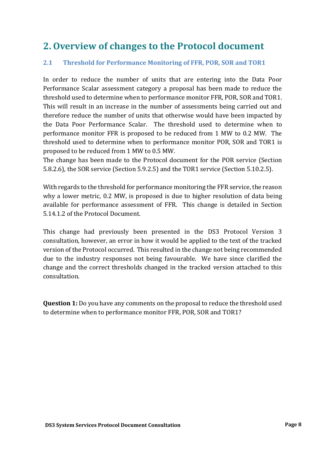## <span id="page-7-0"></span>**2. Overview of changes to the Protocol document**

#### <span id="page-7-1"></span>**2.1 Threshold for Performance Monitoring of FFR, POR, SOR and TOR1**

In order to reduce the number of units that are entering into the Data Poor Performance Scalar assessment category a proposal has been made to reduce the threshold used to determine when to performance monitor FFR, POR, SOR and TOR1. This will result in an increase in the number of assessments being carried out and therefore reduce the number of units that otherwise would have been impacted by the Data Poor Performance Scalar. The threshold used to determine when to performance monitor FFR is proposed to be reduced from 1 MW to 0.2 MW. The threshold used to determine when to performance monitor POR, SOR and TOR1 is proposed to be reduced from 1 MW to 0.5 MW.

The change has been made to the Protocol document for the POR service (Section 5.8.2.6), the SOR service (Section 5.9.2.5) and the TOR1 service (Section 5.10.2.5).

With regards to the threshold for performance monitoring the FFR service, the reason why a lower metric, 0.2 MW, is proposed is due to higher resolution of data being available for performance assessment of FFR. This change is detailed in Section 5.14.1.2 of the Protocol Document.

This change had previously been presented in the DS3 Protocol Version 3 consultation, however, an error in how it would be applied to the text of the tracked version of the Protocol occurred. This resulted in the change not being recommended due to the industry responses not being favourable. We have since clarified the change and the correct thresholds changed in the tracked version attached to this consultation.

**Question 1:** Do you have any comments on the proposal to reduce the threshold used to determine when to performance monitor FFR, POR, SOR and TOR1?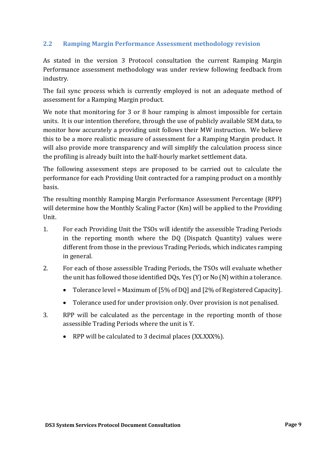#### <span id="page-8-0"></span>**2.2 Ramping Margin Performance Assessment methodology revision**

As stated in the version 3 Protocol consultation the current Ramping Margin Performance assessment methodology was under review following feedback from industry.

The fail sync process which is currently employed is not an adequate method of assessment for a Ramping Margin product.

We note that monitoring for 3 or 8 hour ramping is almost impossible for certain units. It is our intention therefore, through the use of publicly available SEM data, to monitor how accurately a providing unit follows their MW instruction. We believe this to be a more realistic measure of assessment for a Ramping Margin product. It will also provide more transparency and will simplify the calculation process since the profiling is already built into the half-hourly market settlement data.

The following assessment steps are proposed to be carried out to calculate the performance for each Providing Unit contracted for a ramping product on a monthly basis.

The resulting monthly Ramping Margin Performance Assessment Percentage (RPP) will determine how the Monthly Scaling Factor (Km) will be applied to the Providing Unit.

- 1. For each Providing Unit the TSOs will identify the assessible Trading Periods in the reporting month where the DQ (Dispatch Quantity) values were different from those in the previous Trading Periods, which indicates ramping in general.
- 2. For each of those assessible Trading Periods, the TSOs will evaluate whether the unit has followed those identified DQs, Yes (Y) or No (N) within a tolerance.
	- Tolerance level = Maximum of [5% of DQ] and [2% of Registered Capacity].
	- Tolerance used for under provision only. Over provision is not penalised.
- 3. RPP will be calculated as the percentage in the reporting month of those assessible Trading Periods where the unit is Y.
	- RPP will be calculated to 3 decimal places (XX.XXX%).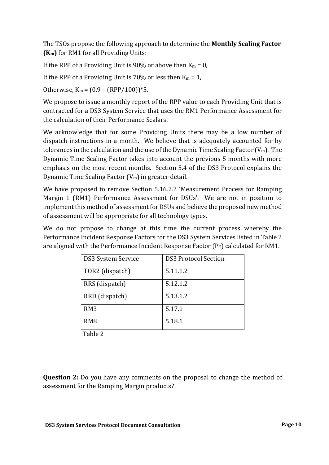The TSOs propose the following approach to determine the **Monthly Scaling Factor (Km)** for RM1 for all Providing Units:

If the RPP of a Providing Unit is 90% or above then  $K_m = 0$ ,

If the RPP of a Providing Unit is 70% or less then  $K_m = 1$ ,

Otherwise,  $K_m = (0.9 - (RPP/100))^*$ 5.

We propose to issue a monthly report of the RPP value to each Providing Unit that is contracted for a DS3 System Service that uses the RM1 Performance Assessment for the calculation of their Performance Scalars.

We acknowledge that for some Providing Units there may be a low number of dispatch instructions in a month. We believe that is adequately accounted for by tolerances in the calculation and the use of the Dynamic Time Scaling Factor  $(V_m)$ . The Dynamic Time Scaling Factor takes into account the previous 5 months with more emphasis on the most recent months. Section 5.4 of the DS3 Protocol explains the Dynamic Time Scaling Factor  $(V_m)$  in greater detail.

We have proposed to remove Section 5.16.2.2 'Measurement Process for Ramping Margin 1 (RM1) Performance Assessment for DSUs'. We are not in position to implement this method of assessment for DSUs and believe the proposed new method of assessment will be appropriate for all technology types.

We do not propose to change at this time the current process whereby the Performance Incident Response Factors for the DS3 System Services listed in Table 2 are aligned with the Performance Incident Response Factor  $(P_E)$  calculated for RM1.

| DS3 System Service | <b>DS3 Protocol Section</b> |
|--------------------|-----------------------------|
| TOR2 (dispatch)    | 5.11.1.2                    |
| RRS (dispatch)     | 5.12.1.2                    |
| RRD (dispatch)     | 5.13.1.2                    |
| RM <sub>3</sub>    | 5.17.1                      |
| RM <sub>8</sub>    | 5.18.1                      |

Table 2

**Question 2:** Do you have any comments on the proposal to change the method of assessment for the Ramping Margin products?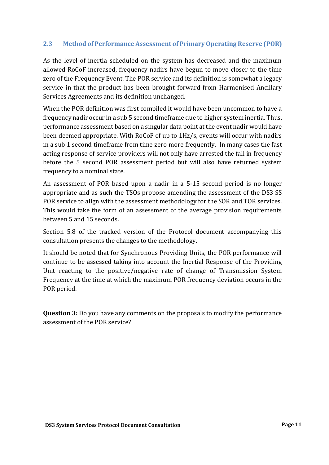#### <span id="page-10-0"></span>**2.3 Method of Performance Assessment of Primary Operating Reserve (POR)**

As the level of inertia scheduled on the system has decreased and the maximum allowed RoCoF increased, frequency nadirs have begun to move closer to the time zero of the Frequency Event. The POR service and its definition is somewhat a legacy service in that the product has been brought forward from Harmonised Ancillary Services Agreements and its definition unchanged.

When the POR definition was first compiled it would have been uncommon to have a frequency nadir occur in a sub 5 second timeframe due to higher system inertia. Thus, performance assessment based on a singular data point at the event nadir would have been deemed appropriate. With RoCoF of up to 1Hz/s, events will occur with nadirs in a sub 1 second timeframe from time zero more frequently. In many cases the fast acting response of service providers will not only have arrested the fall in frequency before the 5 second POR assessment period but will also have returned system frequency to a nominal state.

An assessment of POR based upon a nadir in a 5-15 second period is no longer appropriate and as such the TSOs propose amending the assessment of the DS3 SS POR service to align with the assessment methodology for the SOR and TOR services. This would take the form of an assessment of the average provision requirements between 5 and 15 seconds.

Section 5.8 of the tracked version of the Protocol document accompanying this consultation presents the changes to the methodology.

It should be noted that for Synchronous Providing Units, the POR performance will continue to be assessed taking into account the Inertial Response of the Providing Unit reacting to the positive/negative rate of change of Transmission System Frequency at the time at which the maximum POR frequency deviation occurs in the POR period.

**Question 3:** Do you have any comments on the proposals to modify the performance assessment of the POR service?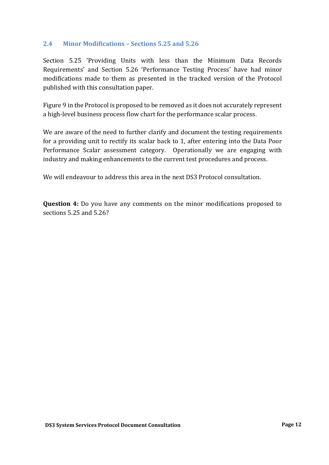#### <span id="page-11-0"></span>**2.4 Minor Modifications – Sections 5.25 and 5.26**

Section 5.25 'Providing Units with less than the Minimum Data Records Requirements' and Section 5.26 'Performance Testing Process' have had minor modifications made to them as presented in the tracked version of the Protocol published with this consultation paper.

Figure 9 in the Protocol is proposed to be removed as it does not accurately represent a high-level business process flow chart for the performance scalar process.

We are aware of the need to further clarify and document the testing requirements for a providing unit to rectify its scalar back to 1, after entering into the Data Poor Performance Scalar assessment category. Operationally we are engaging with industry and making enhancements to the current test procedures and process.

We will endeavour to address this area in the next DS3 Protocol consultation.

**Question 4:** Do you have any comments on the minor modifications proposed to sections 5.25 and 5.26?